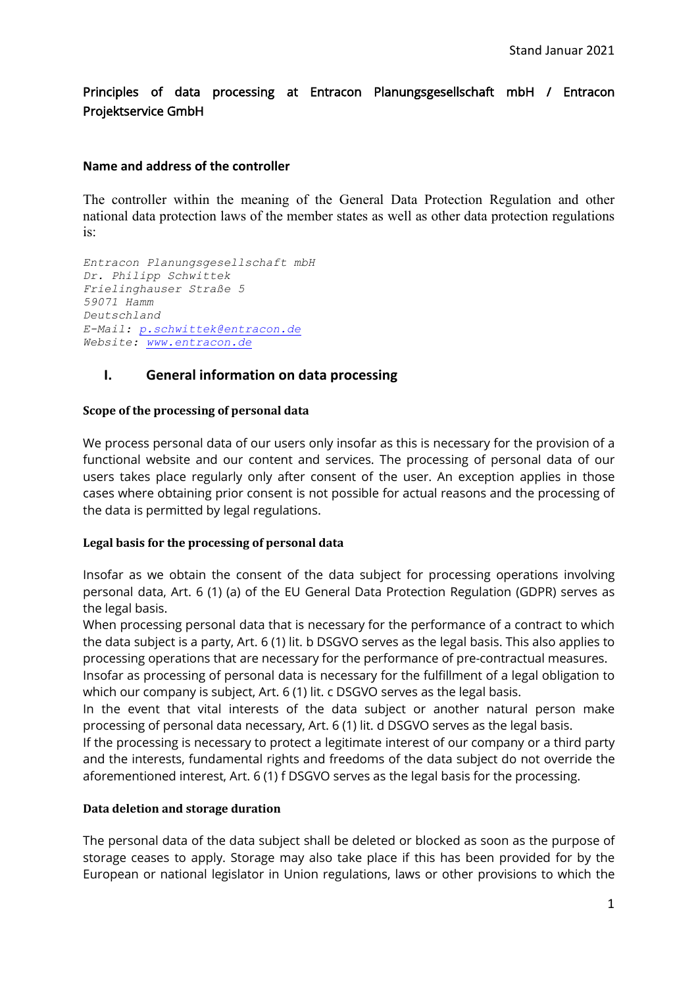Principles of data processing at Entracon Planungsgesellschaft mbH / Entracon Projektservice GmbH

#### **Name and address of the controller**

The controller within the meaning of the General Data Protection Regulation and other national data protection laws of the member states as well as other data protection regulations is:

*Entracon Planungsgesellschaft mbH Dr. Philipp Schwittek Frielinghauser Straße 5 59071 Hamm Deutschland E-Mail: [p.schwittek@entracon.de](mailto:p.schwittek@entracon.de) Website: [www.entracon.de](https://www.entracon.de/)*

## **I. General information on data processing**

#### **Scope of the processing of personal data**

We process personal data of our users only insofar as this is necessary for the provision of a functional website and our content and services. The processing of personal data of our users takes place regularly only after consent of the user. An exception applies in those cases where obtaining prior consent is not possible for actual reasons and the processing of the data is permitted by legal regulations.

#### **Legal basis for the processing of personal data**

Insofar as we obtain the consent of the data subject for processing operations involving personal data, Art. 6 (1) (a) of the EU General Data Protection Regulation (GDPR) serves as the legal basis.

When processing personal data that is necessary for the performance of a contract to which the data subject is a party, Art. 6 (1) lit. b DSGVO serves as the legal basis. This also applies to processing operations that are necessary for the performance of pre-contractual measures.

Insofar as processing of personal data is necessary for the fulfillment of a legal obligation to which our company is subject, Art. 6 (1) lit. c DSGVO serves as the legal basis.

In the event that vital interests of the data subject or another natural person make processing of personal data necessary, Art. 6 (1) lit. d DSGVO serves as the legal basis.

If the processing is necessary to protect a legitimate interest of our company or a third party and the interests, fundamental rights and freedoms of the data subject do not override the aforementioned interest, Art. 6 (1) f DSGVO serves as the legal basis for the processing.

#### **Data deletion and storage duration**

The personal data of the data subject shall be deleted or blocked as soon as the purpose of storage ceases to apply. Storage may also take place if this has been provided for by the European or national legislator in Union regulations, laws or other provisions to which the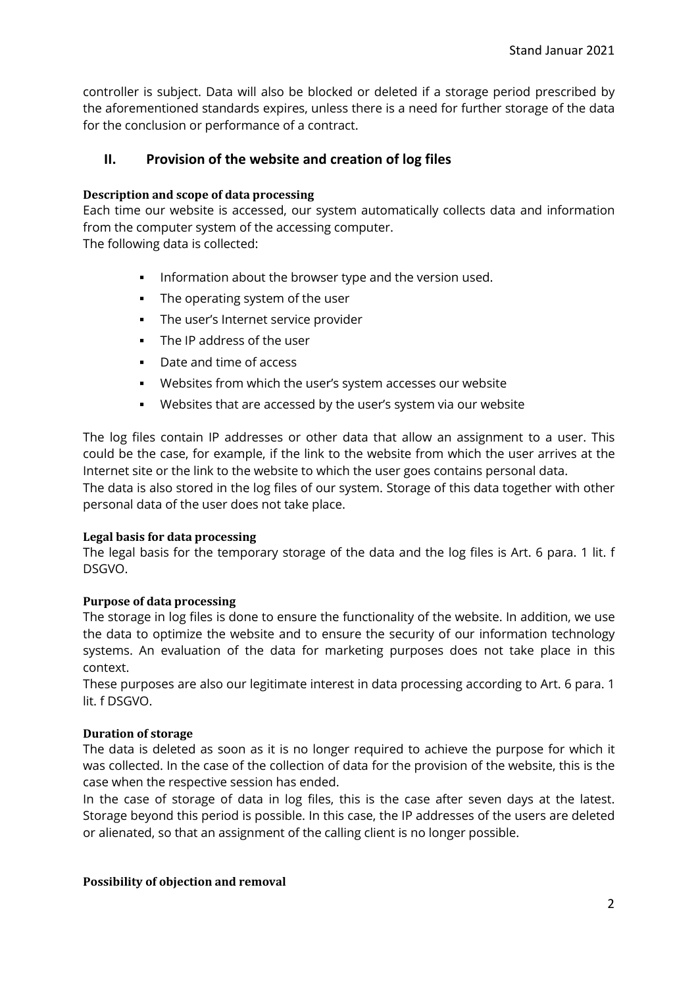controller is subject. Data will also be blocked or deleted if a storage period prescribed by the aforementioned standards expires, unless there is a need for further storage of the data for the conclusion or performance of a contract.

# **II. Provision of the website and creation of log files**

#### **Description and scope of data processing**

Each time our website is accessed, our system automatically collects data and information from the computer system of the accessing computer.

The following data is collected:

- **Information about the browser type and the version used.**
- The operating system of the user
- The user's Internet service provider
- **The IP address of the user**
- Date and time of access
- Websites from which the user's system accesses our website
- Websites that are accessed by the user's system via our website

The log files contain IP addresses or other data that allow an assignment to a user. This could be the case, for example, if the link to the website from which the user arrives at the Internet site or the link to the website to which the user goes contains personal data. The data is also stored in the log files of our system. Storage of this data together with other

personal data of the user does not take place.

#### **Legal basis for data processing**

The legal basis for the temporary storage of the data and the log files is Art. 6 para. 1 lit. f DSGVO.

### **Purpose of data processing**

The storage in log files is done to ensure the functionality of the website. In addition, we use the data to optimize the website and to ensure the security of our information technology systems. An evaluation of the data for marketing purposes does not take place in this context.

These purposes are also our legitimate interest in data processing according to Art. 6 para. 1 lit. f DSGVO.

### **Duration of storage**

The data is deleted as soon as it is no longer required to achieve the purpose for which it was collected. In the case of the collection of data for the provision of the website, this is the case when the respective session has ended.

In the case of storage of data in log files, this is the case after seven days at the latest. Storage beyond this period is possible. In this case, the IP addresses of the users are deleted or alienated, so that an assignment of the calling client is no longer possible.

#### **Possibility of objection and removal**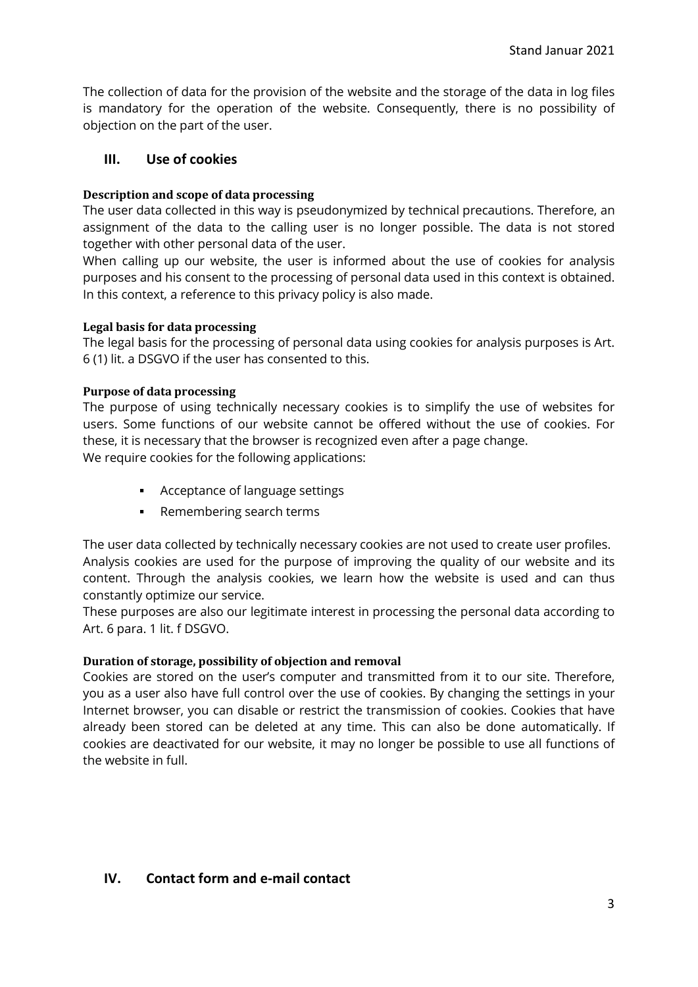The collection of data for the provision of the website and the storage of the data in log files is mandatory for the operation of the website. Consequently, there is no possibility of objection on the part of the user.

# **III. Use of cookies**

## **Description and scope of data processing**

The user data collected in this way is pseudonymized by technical precautions. Therefore, an assignment of the data to the calling user is no longer possible. The data is not stored together with other personal data of the user.

When calling up our website, the user is informed about the use of cookies for analysis purposes and his consent to the processing of personal data used in this context is obtained. In this context, a reference to this privacy policy is also made.

### **Legal basis for data processing**

The legal basis for the processing of personal data using cookies for analysis purposes is Art. 6 (1) lit. a DSGVO if the user has consented to this.

### **Purpose of data processing**

The purpose of using technically necessary cookies is to simplify the use of websites for users. Some functions of our website cannot be offered without the use of cookies. For these, it is necessary that the browser is recognized even after a page change. We require cookies for the following applications:

- **Acceptance of language settings**
- Remembering search terms

The user data collected by technically necessary cookies are not used to create user profiles. Analysis cookies are used for the purpose of improving the quality of our website and its content. Through the analysis cookies, we learn how the website is used and can thus constantly optimize our service.

These purposes are also our legitimate interest in processing the personal data according to Art. 6 para. 1 lit. f DSGVO.

### **Duration of storage, possibility of objection and removal**

Cookies are stored on the user's computer and transmitted from it to our site. Therefore, you as a user also have full control over the use of cookies. By changing the settings in your Internet browser, you can disable or restrict the transmission of cookies. Cookies that have already been stored can be deleted at any time. This can also be done automatically. If cookies are deactivated for our website, it may no longer be possible to use all functions of the website in full.

## **IV. Contact form and e-mail contact**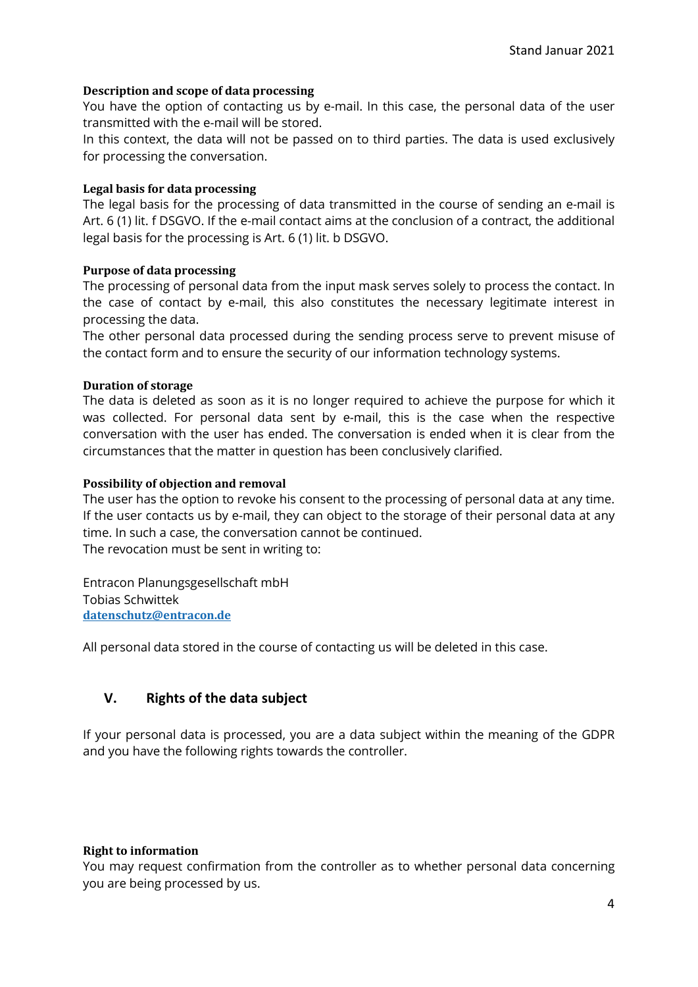### **Description and scope of data processing**

You have the option of contacting us by e-mail. In this case, the personal data of the user transmitted with the e-mail will be stored.

In this context, the data will not be passed on to third parties. The data is used exclusively for processing the conversation.

## **Legal basis for data processing**

The legal basis for the processing of data transmitted in the course of sending an e-mail is Art. 6 (1) lit. f DSGVO. If the e-mail contact aims at the conclusion of a contract, the additional legal basis for the processing is Art. 6 (1) lit. b DSGVO.

## **Purpose of data processing**

The processing of personal data from the input mask serves solely to process the contact. In the case of contact by e-mail, this also constitutes the necessary legitimate interest in processing the data.

The other personal data processed during the sending process serve to prevent misuse of the contact form and to ensure the security of our information technology systems.

## **Duration of storage**

The data is deleted as soon as it is no longer required to achieve the purpose for which it was collected. For personal data sent by e-mail, this is the case when the respective conversation with the user has ended. The conversation is ended when it is clear from the circumstances that the matter in question has been conclusively clarified.

## **Possibility of objection and removal**

The user has the option to revoke his consent to the processing of personal data at any time. If the user contacts us by e-mail, they can object to the storage of their personal data at any time. In such a case, the conversation cannot be continued. The revocation must be sent in writing to:

Entracon Planungsgesellschaft mbH Tobias Schwittek **[datenschutz@entracon.de](mailto:datenschutz@entracon.de)**

All personal data stored in the course of contacting us will be deleted in this case.

# **V. Rights of the data subject**

If your personal data is processed, you are a data subject within the meaning of the GDPR and you have the following rights towards the controller.

### **Right to information**

You may request confirmation from the controller as to whether personal data concerning you are being processed by us.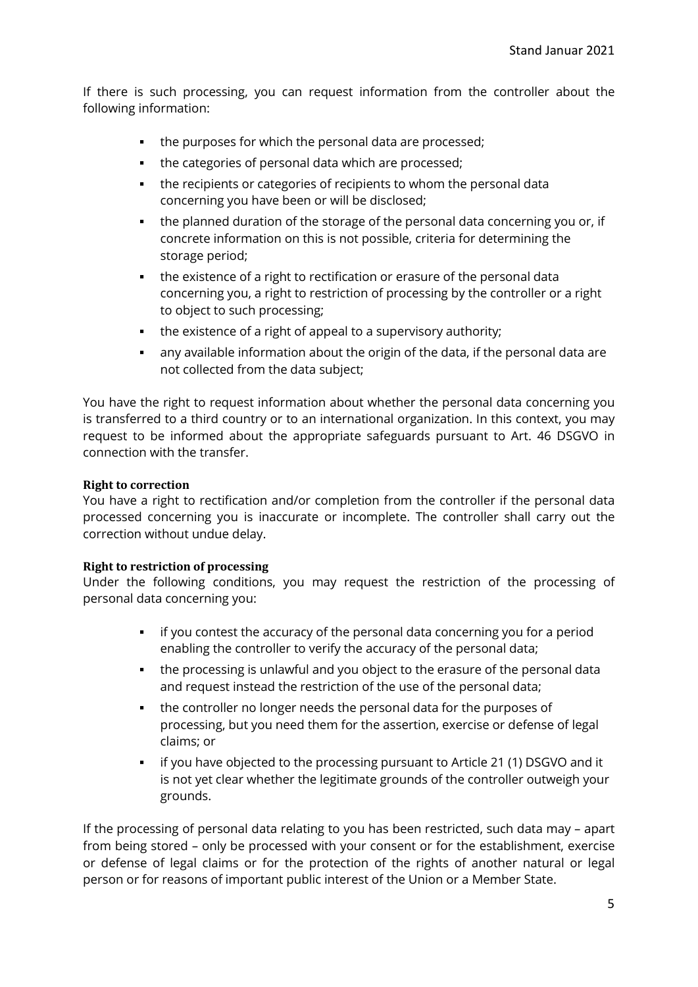If there is such processing, you can request information from the controller about the following information:

- the purposes for which the personal data are processed;
- the categories of personal data which are processed:
- the recipients or categories of recipients to whom the personal data concerning you have been or will be disclosed;
- the planned duration of the storage of the personal data concerning you or, if concrete information on this is not possible, criteria for determining the storage period;
- the existence of a right to rectification or erasure of the personal data concerning you, a right to restriction of processing by the controller or a right to object to such processing;
- the existence of a right of appeal to a supervisory authority;
- any available information about the origin of the data, if the personal data are not collected from the data subject;

You have the right to request information about whether the personal data concerning you is transferred to a third country or to an international organization. In this context, you may request to be informed about the appropriate safeguards pursuant to Art. 46 DSGVO in connection with the transfer.

## **Right to correction**

You have a right to rectification and/or completion from the controller if the personal data processed concerning you is inaccurate or incomplete. The controller shall carry out the correction without undue delay.

## **Right to restriction of processing**

Under the following conditions, you may request the restriction of the processing of personal data concerning you:

- **i** if you contest the accuracy of the personal data concerning you for a period enabling the controller to verify the accuracy of the personal data;
- the processing is unlawful and you object to the erasure of the personal data and request instead the restriction of the use of the personal data;
- the controller no longer needs the personal data for the purposes of processing, but you need them for the assertion, exercise or defense of legal claims; or
- if you have objected to the processing pursuant to Article 21 (1) DSGVO and it is not yet clear whether the legitimate grounds of the controller outweigh your grounds.

If the processing of personal data relating to you has been restricted, such data may – apart from being stored – only be processed with your consent or for the establishment, exercise or defense of legal claims or for the protection of the rights of another natural or legal person or for reasons of important public interest of the Union or a Member State.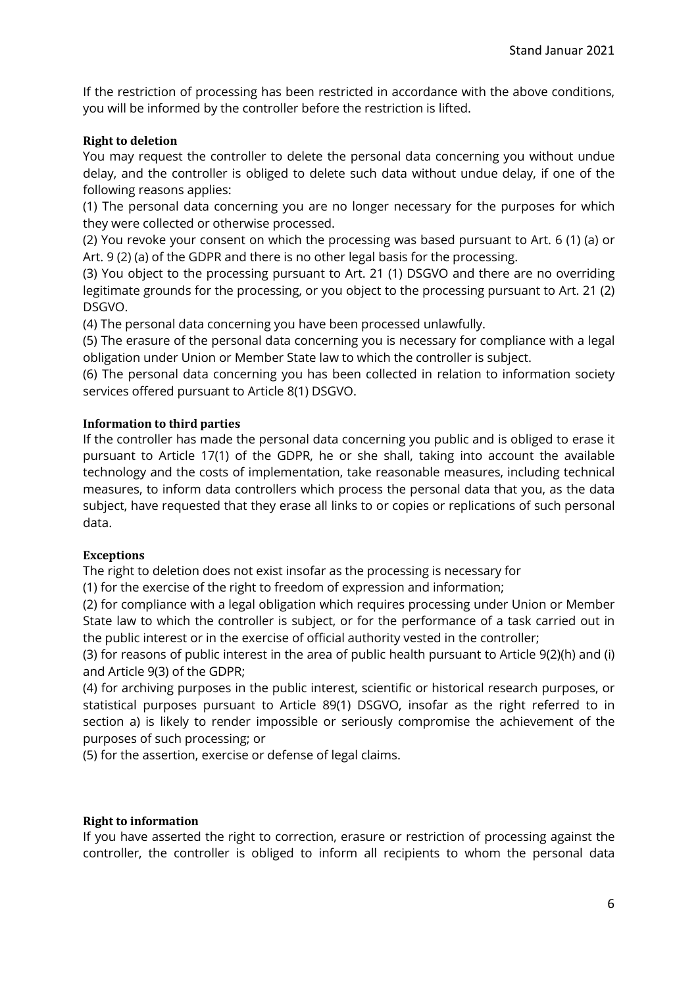If the restriction of processing has been restricted in accordance with the above conditions, you will be informed by the controller before the restriction is lifted.

## **Right to deletion**

You may request the controller to delete the personal data concerning you without undue delay, and the controller is obliged to delete such data without undue delay, if one of the following reasons applies:

(1) The personal data concerning you are no longer necessary for the purposes for which they were collected or otherwise processed.

(2) You revoke your consent on which the processing was based pursuant to Art. 6 (1) (a) or Art. 9 (2) (a) of the GDPR and there is no other legal basis for the processing.

(3) You object to the processing pursuant to Art. 21 (1) DSGVO and there are no overriding legitimate grounds for the processing, or you object to the processing pursuant to Art. 21 (2) DSGVO.

(4) The personal data concerning you have been processed unlawfully.

(5) The erasure of the personal data concerning you is necessary for compliance with a legal obligation under Union or Member State law to which the controller is subject.

(6) The personal data concerning you has been collected in relation to information society services offered pursuant to Article 8(1) DSGVO.

## **Information to third parties**

If the controller has made the personal data concerning you public and is obliged to erase it pursuant to Article 17(1) of the GDPR, he or she shall, taking into account the available technology and the costs of implementation, take reasonable measures, including technical measures, to inform data controllers which process the personal data that you, as the data subject, have requested that they erase all links to or copies or replications of such personal data.

### **Exceptions**

The right to deletion does not exist insofar as the processing is necessary for

(1) for the exercise of the right to freedom of expression and information;

(2) for compliance with a legal obligation which requires processing under Union or Member State law to which the controller is subject, or for the performance of a task carried out in the public interest or in the exercise of official authority vested in the controller;

(3) for reasons of public interest in the area of public health pursuant to Article 9(2)(h) and (i) and Article 9(3) of the GDPR;

(4) for archiving purposes in the public interest, scientific or historical research purposes, or statistical purposes pursuant to Article 89(1) DSGVO, insofar as the right referred to in section a) is likely to render impossible or seriously compromise the achievement of the purposes of such processing; or

(5) for the assertion, exercise or defense of legal claims.

### **Right to information**

If you have asserted the right to correction, erasure or restriction of processing against the controller, the controller is obliged to inform all recipients to whom the personal data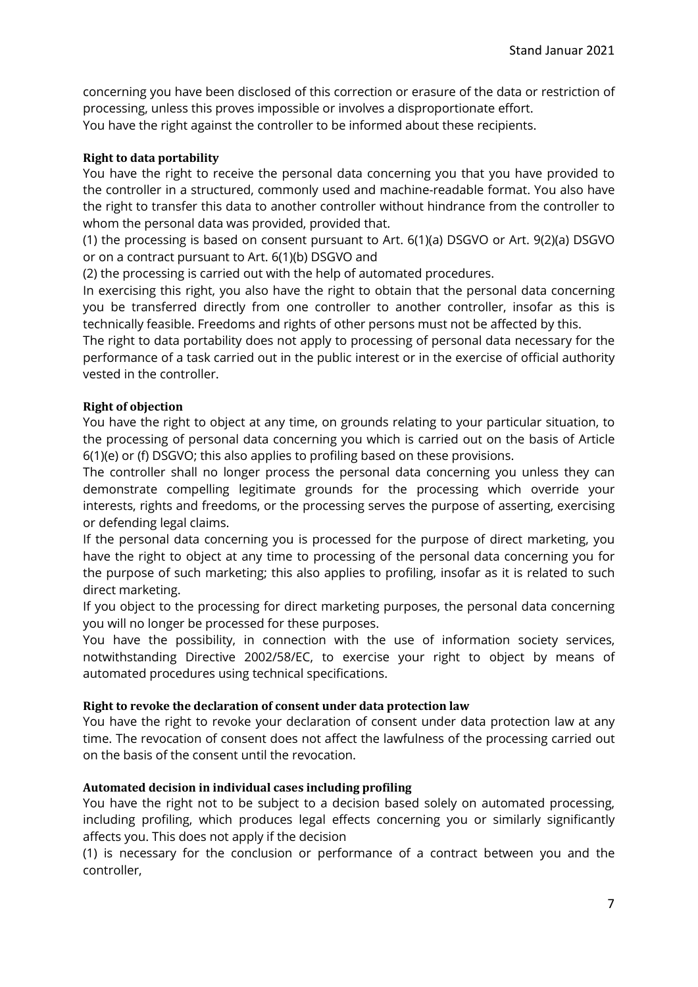concerning you have been disclosed of this correction or erasure of the data or restriction of processing, unless this proves impossible or involves a disproportionate effort. You have the right against the controller to be informed about these recipients.

### **Right to data portability**

You have the right to receive the personal data concerning you that you have provided to the controller in a structured, commonly used and machine-readable format. You also have the right to transfer this data to another controller without hindrance from the controller to whom the personal data was provided, provided that.

(1) the processing is based on consent pursuant to Art. 6(1)(a) DSGVO or Art. 9(2)(a) DSGVO or on a contract pursuant to Art. 6(1)(b) DSGVO and

(2) the processing is carried out with the help of automated procedures.

In exercising this right, you also have the right to obtain that the personal data concerning you be transferred directly from one controller to another controller, insofar as this is technically feasible. Freedoms and rights of other persons must not be affected by this.

The right to data portability does not apply to processing of personal data necessary for the performance of a task carried out in the public interest or in the exercise of official authority vested in the controller.

### **Right of objection**

You have the right to object at any time, on grounds relating to your particular situation, to the processing of personal data concerning you which is carried out on the basis of Article 6(1)(e) or (f) DSGVO; this also applies to profiling based on these provisions.

The controller shall no longer process the personal data concerning you unless they can demonstrate compelling legitimate grounds for the processing which override your interests, rights and freedoms, or the processing serves the purpose of asserting, exercising or defending legal claims.

If the personal data concerning you is processed for the purpose of direct marketing, you have the right to object at any time to processing of the personal data concerning you for the purpose of such marketing; this also applies to profiling, insofar as it is related to such direct marketing.

If you object to the processing for direct marketing purposes, the personal data concerning you will no longer be processed for these purposes.

You have the possibility, in connection with the use of information society services, notwithstanding Directive 2002/58/EC, to exercise your right to object by means of automated procedures using technical specifications.

### **Right to revoke the declaration of consent under data protection law**

You have the right to revoke your declaration of consent under data protection law at any time. The revocation of consent does not affect the lawfulness of the processing carried out on the basis of the consent until the revocation.

### **Automated decision in individual cases including profiling**

You have the right not to be subject to a decision based solely on automated processing, including profiling, which produces legal effects concerning you or similarly significantly affects you. This does not apply if the decision

(1) is necessary for the conclusion or performance of a contract between you and the controller,